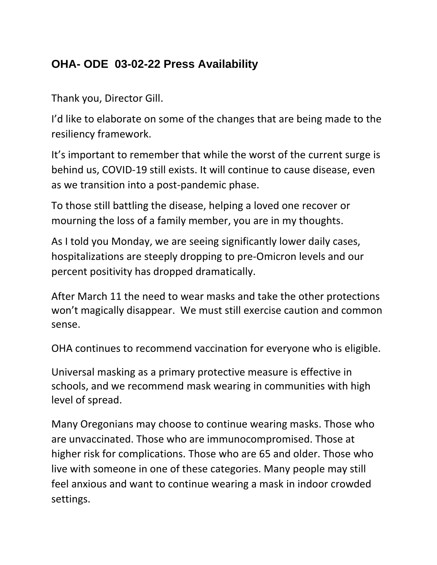## **OHA- ODE 03-02-22 Press Availability**

Thank you, Director Gill.

I'd like to elaborate on some of the changes that are being made to the resiliency framework.

It's important to remember that while the worst of the current surge is behind us, COVID-19 still exists. It will continue to cause disease, even as we transition into a post-pandemic phase.

To those still battling the disease, helping a loved one recover or mourning the loss of a family member, you are in my thoughts.

As I told you Monday, we are seeing significantly lower daily cases, hospitalizations are steeply dropping to pre-Omicron levels and our percent positivity has dropped dramatically.

After March 11 the need to wear masks and take the other protections won't magically disappear. We must still exercise caution and common sense.

OHA continues to recommend vaccination for everyone who is eligible.

Universal masking as a primary protective measure is effective in schools, and we recommend mask wearing in communities with high level of spread.

Many Oregonians may choose to continue wearing masks. Those who are unvaccinated. Those who are immunocompromised. Those at higher risk for complications. Those who are 65 and older. Those who live with someone in one of these categories. Many people may still feel anxious and want to continue wearing a mask in indoor crowded settings.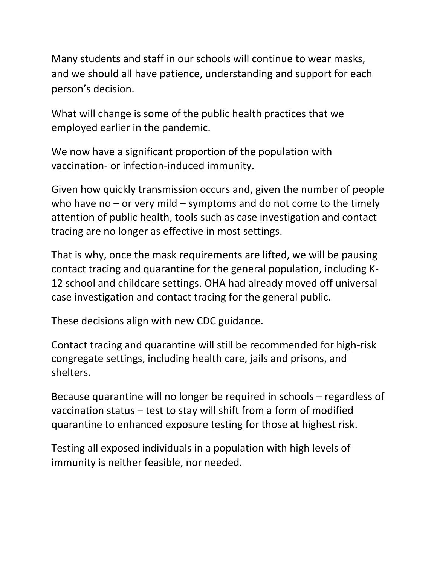Many students and staff in our schools will continue to wear masks, and we should all have patience, understanding and support for each person's decision.

What will change is some of the public health practices that we employed earlier in the pandemic.

We now have a significant proportion of the population with vaccination- or infection-induced immunity.

Given how quickly transmission occurs and, given the number of people who have no – or very mild – symptoms and do not come to the timely attention of public health, tools such as case investigation and contact tracing are no longer as effective in most settings.

That is why, once the mask requirements are lifted, we will be pausing contact tracing and quarantine for the general population, including K-12 school and childcare settings. OHA had already moved off universal case investigation and contact tracing for the general public.

These decisions align with new CDC guidance.

Contact tracing and quarantine will still be recommended for high-risk congregate settings, including health care, jails and prisons, and shelters.

Because quarantine will no longer be required in schools – regardless of vaccination status – test to stay will shift from a form of modified quarantine to enhanced exposure testing for those at highest risk.

Testing all exposed individuals in a population with high levels of immunity is neither feasible, nor needed.